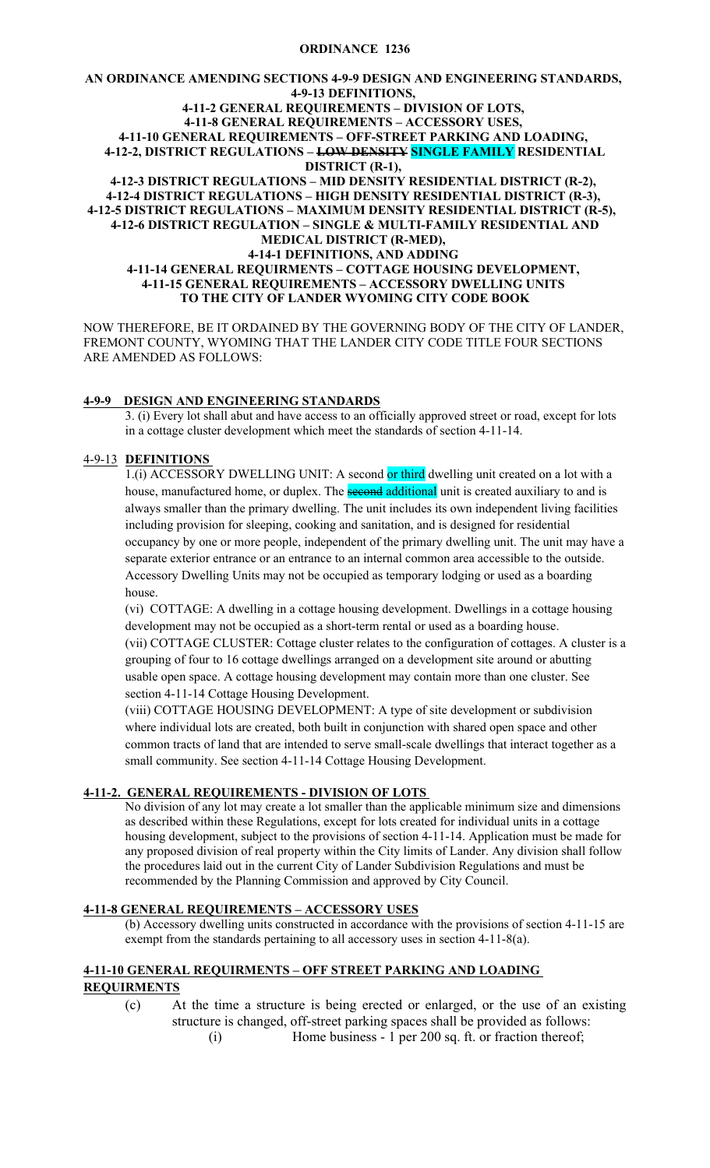### **ORDINANCE 1236**

#### **AN ORDINANCE AMENDING SECTIONS 4-9-9 DESIGN AND ENGINEERING STANDARDS, 4-9-13 DEFINITIONS, 4-11-2 GENERAL REQUIREMENTS – DIVISION OF LOTS, 4-11-8 GENERAL REQUIREMENTS – ACCESSORY USES, 4-11-10 GENERAL REQUIREMENTS – OFF-STREET PARKING AND LOADING, 4-12-2, DISTRICT REGULATIONS – LOW DENSITY SINGLE FAMILY RESIDENTIAL DISTRICT (R-1), 4-12-3 DISTRICT REGULATIONS – MID DENSITY RESIDENTIAL DISTRICT (R-2), 4-12-4 DISTRICT REGULATIONS – HIGH DENSITY RESIDENTIAL DISTRICT (R-3), 4-12-5 DISTRICT REGULATIONS – MAXIMUM DENSITY RESIDENTIAL DISTRICT (R-5), 4-12-6 DISTRICT REGULATION – SINGLE & MULTI-FAMILY RESIDENTIAL AND MEDICAL DISTRICT (R-MED),**

### **4-14-1 DEFINITIONS, AND ADDING 4-11-14 GENERAL REQUIRMENTS – COTTAGE HOUSING DEVELOPMENT, 4-11-15 GENERAL REQUIREMENTS – ACCESSORY DWELLING UNITS TO THE CITY OF LANDER WYOMING CITY CODE BOOK**

NOW THEREFORE, BE IT ORDAINED BY THE GOVERNING BODY OF THE CITY OF LANDER, FREMONT COUNTY, WYOMING THAT THE LANDER CITY CODE TITLE FOUR SECTIONS ARE AMENDED AS FOLLOWS:

### **4-9-9 DESIGN AND ENGINEERING STANDARDS**

3. (i) Every lot shall abut and have access to an officially approved street or road, except for lots in a cottage cluster development which meet the standards of section 4-11-14.

# 4-9-13 **DEFINITIONS**

1.(i) ACCESSORY DWELLING UNIT: A second or third dwelling unit created on a lot with a house, manufactured home, or duplex. The **second additional** unit is created auxiliary to and is always smaller than the primary dwelling. The unit includes its own independent living facilities including provision for sleeping, cooking and sanitation, and is designed for residential occupancy by one or more people, independent of the primary dwelling unit. The unit may have a separate exterior entrance or an entrance to an internal common area accessible to the outside. Accessory Dwelling Units may not be occupied as temporary lodging or used as a boarding house.

(vi) COTTAGE: A dwelling in a cottage housing development. Dwellings in a cottage housing development may not be occupied as a short-term rental or used as a boarding house.

(vii) COTTAGE CLUSTER: Cottage cluster relates to the configuration of cottages. A cluster is a grouping of four to 16 cottage dwellings arranged on a development site around or abutting usable open space. A cottage housing development may contain more than one cluster. See section 4-11-14 Cottage Housing Development.

(viii) COTTAGE HOUSING DEVELOPMENT: A type of site development or subdivision where individual lots are created, both built in conjunction with shared open space and other common tracts of land that are intended to serve small-scale dwellings that interact together as a small community. See section 4-11-14 Cottage Housing Development.

# **4-11-2. GENERAL REQUIREMENTS - DIVISION OF LOTS**

No division of any lot may create a lot smaller than the applicable minimum size and dimensions as described within these Regulations, except for lots created for individual units in a cottage housing development, subject to the provisions of section 4-11-14. Application must be made for any proposed division of real property within the City limits of Lander. Any division shall follow the procedures laid out in the current City of Lander Subdivision Regulations and must be recommended by the Planning Commission and approved by City Council.

### **4-11-8 GENERAL REQUIREMENTS – ACCESSORY USES**

(b) Accessory dwelling units constructed in accordance with the provisions of section 4-11-15 are exempt from the standards pertaining to all accessory uses in section 4-11-8(a).

### **4-11-10 GENERAL REQUIRMENTS – OFF STREET PARKING AND LOADING REQUIRMENTS**

- (c) At the time a structure is being erected or enlarged, or the use of an existing structure is changed, off-street parking spaces shall be provided as follows:
	- (i) Home business 1 per 200 sq. ft. or fraction thereof;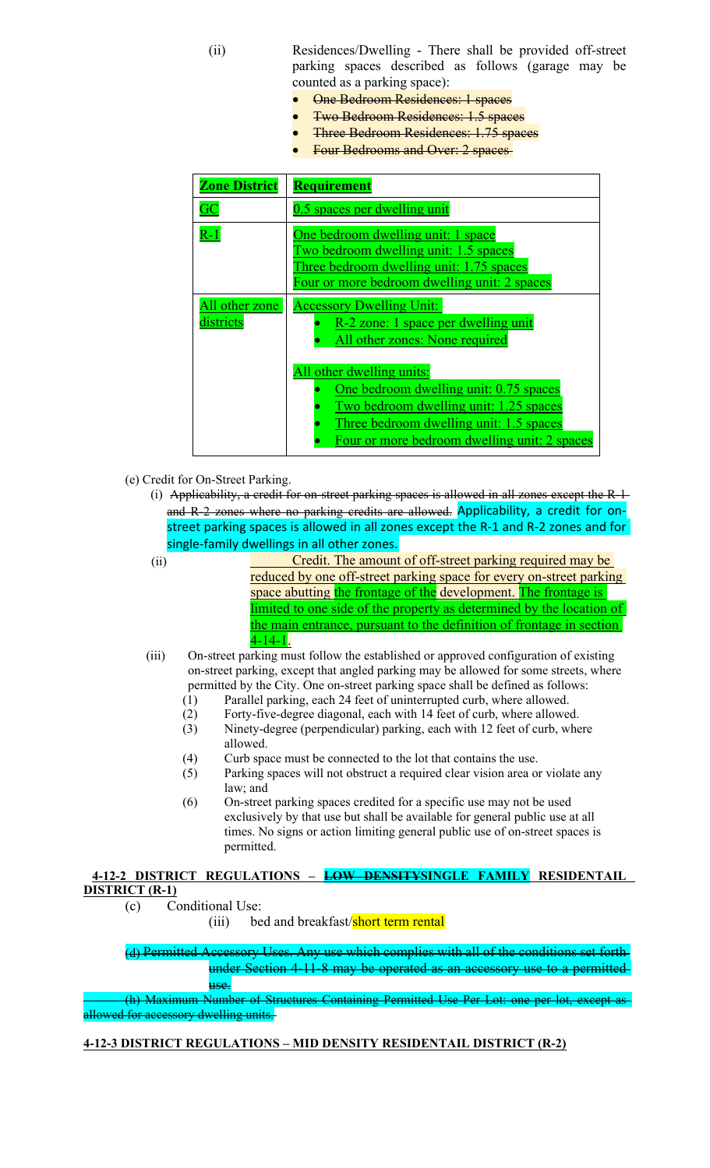(ii) Residences/Dwelling - There shall be provided off-street parking spaces described as follows (garage may be counted as a parking space):

- One Bedroom Residences: 1 spaces
- Two Bedroom Residences: 1.5 spaces
- Three Bedroom Residences: 1.75 spaces
- Four Bedrooms and Over: 2 spaces

| <b>Zone District</b>        | <b>Requirement</b>                                                                                                                                                                                       |
|-----------------------------|----------------------------------------------------------------------------------------------------------------------------------------------------------------------------------------------------------|
| GC                          | 0.5 spaces per dwelling unit                                                                                                                                                                             |
| $R-1$                       | One bedroom dwelling unit: 1 space<br>Two bedroom dwelling unit: 1.5 spaces<br>Three bedroom dwelling unit: 1.75 spaces<br>Four or more bedroom dwelling unit: 2 spaces                                  |
| All other zone<br>districts | <b>Accessory Dwelling Unit:</b><br>R-2 zone: 1 space per dwelling unit<br>All other zones: None required                                                                                                 |
|                             | All other dwelling units:<br>One bedroom dwelling unit: 0.75 spaces<br>Two bedroom dwelling unit: 1.25 spaces<br>Three bedroom dwelling unit: 1.5 spaces<br>Four or more bedroom dwelling unit: 2 spaces |

- (e) Credit for On-Street Parking.
	- (i) Applicability, a credit for on-street parking spaces is allowed in all zones except the R-1 and R-2 zones where no parking credits are allowed. Applicability, a credit for onstreet parking spaces is allowed in all zones except the R-1 and R-2 zones and for single-family dwellings in all other zones.
	-

(ii) Credit. The amount of off-street parking required may be reduced by one off-street parking space for every on-street parking space abutting the frontage of the development. The frontage is limited to one side of the property as determined by the location of the main entrance, pursuant to the definition of frontage in section  $4 - 14 - 1$ .

- (iii) On-street parking must follow the established or approved configuration of existing on-street parking, except that angled parking may be allowed for some streets, where permitted by the City. One on-street parking space shall be defined as follows:
	- (1) Parallel parking, each 24 feet of uninterrupted curb, where allowed.
	- (2) Forty-five-degree diagonal, each with 14 feet of curb, where allowed.
	- (3) Ninety-degree (perpendicular) parking, each with 12 feet of curb, where allowed.
	- (4) Curb space must be connected to the lot that contains the use.
	- (5) Parking spaces will not obstruct a required clear vision area or violate any law; and
	- (6) On-street parking spaces credited for a specific use may not be used exclusively by that use but shall be available for general public use at all times. No signs or action limiting general public use of on-street spaces is permitted.

**4-12-2 DISTRICT REGULATIONS – LOW DENSITYSINGLE FAMILY RESIDENTAIL DISTRICT (R-1)**

(c) Conditional Use:

(iii) bed and breakfast/**short term rental** 

(d) Permitted Accessory Uses. Any use which complies with all of the conditions set forth under Section 4-11-8 may be operated as an accessory use to a permitted use.

(h) Maximum Number of Structures Containing Permitted Use Per Lot: one per lot, except as allowed for accessory dwelling units.

# **4-12-3 DISTRICT REGULATIONS – MID DENSITY RESIDENTAIL DISTRICT (R-2)**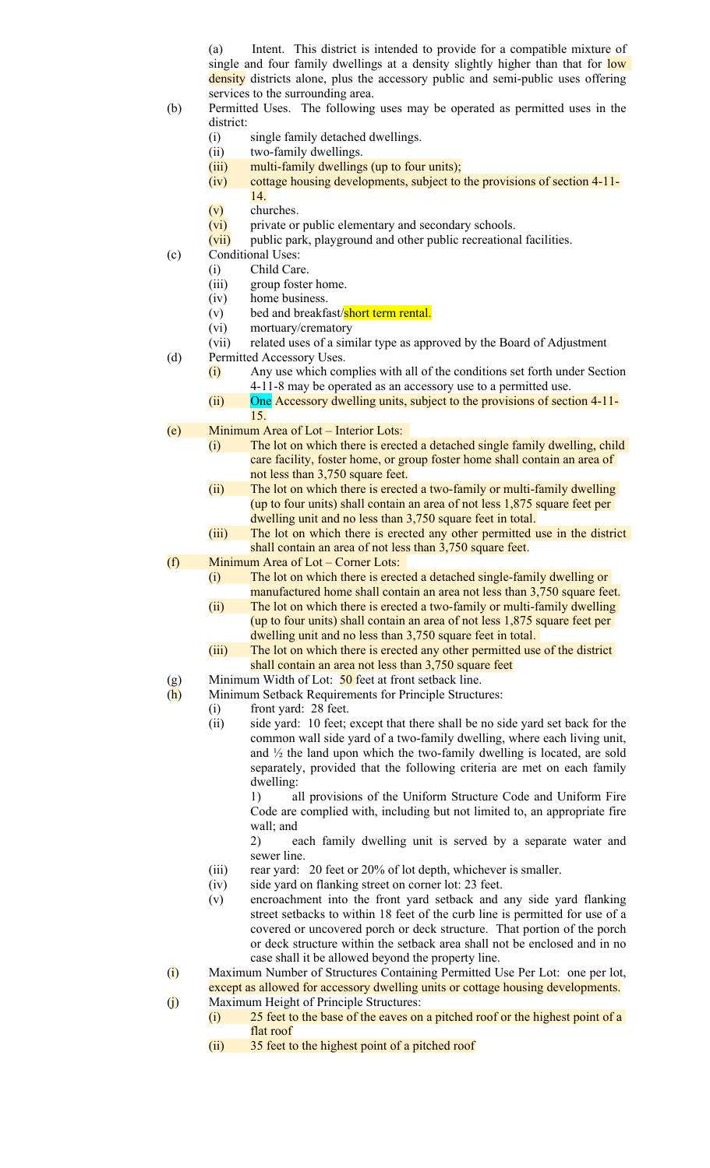(a) Intent. This district is intended to provide for a compatible mixture of single and four family dwellings at a density slightly higher than that for low density districts alone, plus the accessory public and semi-public uses offering services to the surrounding area.

- (b) Permitted Uses. The following uses may be operated as permitted uses in the district:
	- (i) single family detached dwellings.
	- (ii) two-family dwellings.
	- (iii) multi-family dwellings (up to four units);
	- (iv) cottage housing developments, subject to the provisions of section 4-11-
		- 14.
	- (v) churches.
	- (vi) private or public elementary and secondary schools.
	- (vii) public park, playground and other public recreational facilities.
- (c) Conditional Uses:
	- (i) Child Care.
	- (iii) group foster home.
	- (iv) home business.
	- (v) bed and breakfast/short term rental.
	- (vi) mortuary/crematory
	- (vii) related uses of a similar type as approved by the Board of Adjustment
- (d) Permitted Accessory Uses.
	- (i) Any use which complies with all of the conditions set forth under Section 4-11-8 may be operated as an accessory use to a permitted use.
	- (ii) One Accessory dwelling units, subject to the provisions of section 4-11- 15.
- (e) Minimum Area of Lot Interior Lots:
	- (i) The lot on which there is erected a detached single family dwelling, child care facility, foster home, or group foster home shall contain an area of not less than 3,750 square feet.
		- (ii) The lot on which there is erected a two-family or multi-family dwelling (up to four units) shall contain an area of not less 1,875 square feet per dwelling unit and no less than 3,750 square feet in total.
	- (iii) The lot on which there is erected any other permitted use in the district shall contain an area of not less than 3,750 square feet.
- (f) Minimum Area of Lot Corner Lots:
	- (i) The lot on which there is erected a detached single-family dwelling or manufactured home shall contain an area not less than 3,750 square feet.
	- (ii) The lot on which there is erected a two-family or multi-family dwelling (up to four units) shall contain an area of not less 1,875 square feet per dwelling unit and no less than 3,750 square feet in total.
	- (iii) The lot on which there is erected any other permitted use of the district shall contain an area not less than 3,750 square feet
- (g) Minimum Width of Lot:  $\frac{50}{ }$  feet at front setback line.
- (h) Minimum Setback Requirements for Principle Structures:
	- (i) front yard: 28 feet.
	- (ii) side yard: 10 feet; except that there shall be no side yard set back for the common wall side yard of a two-family dwelling, where each living unit, and ½ the land upon which the two-family dwelling is located, are sold separately, provided that the following criteria are met on each family dwelling:

1) all provisions of the Uniform Structure Code and Uniform Fire Code are complied with, including but not limited to, an appropriate fire wall; and

2) each family dwelling unit is served by a separate water and sewer line.

- (iii) rear yard: 20 feet or 20% of lot depth, whichever is smaller.
- (iv) side yard on flanking street on corner lot: 23 feet.
- (v) encroachment into the front yard setback and any side yard flanking street setbacks to within 18 feet of the curb line is permitted for use of a covered or uncovered porch or deck structure. That portion of the porch or deck structure within the setback area shall not be enclosed and in no case shall it be allowed beyond the property line.
- (i) Maximum Number of Structures Containing Permitted Use Per Lot: one per lot, except as allowed for accessory dwelling units or cottage housing developments.
- (j) Maximum Height of Principle Structures:
	- (i) 25 feet to the base of the eaves on a pitched roof or the highest point of a flat roof
	- (ii) 35 feet to the highest point of a pitched roof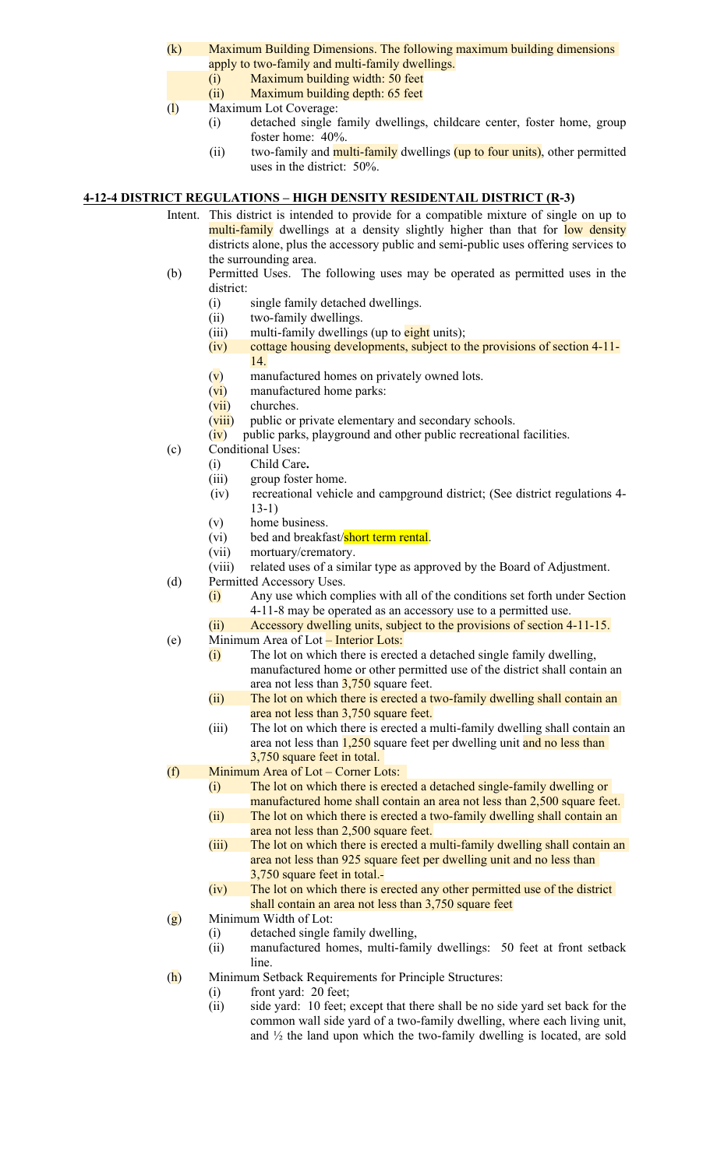- (k) Maximum Building Dimensions. The following maximum building dimensions apply to two-family and multi-family dwellings.
	- (i) Maximum building width: 50 feet
	- (ii) Maximum building depth: 65 feet
- (l) Maximum Lot Coverage:
	- (i) detached single family dwellings, childcare center, foster home, group foster home: 40%.
	- (ii) two-family and **multi-family** dwellings (up to four units), other permitted uses in the district: 50%.

### **4-12-4 DISTRICT REGULATIONS – HIGH DENSITY RESIDENTAIL DISTRICT (R-3)**

- Intent. This district is intended to provide for a compatible mixture of single on up to multi-family dwellings at a density slightly higher than that for low density districts alone, plus the accessory public and semi-public uses offering services to the surrounding area.
- (b) Permitted Uses. The following uses may be operated as permitted uses in the district:
	- (i) single family detached dwellings.
	- (ii) two-family dwellings.
	- (iii) multi-family dwellings (up to  $\frac{$ ight units);
	- (iv) cottage housing developments, subject to the provisions of section 4-11- 14.
	- (v) manufactured homes on privately owned lots.
	- (vi) manufactured home parks:
	- $(vii)$  churches.
	- (viii) public or private elementary and secondary schools.
	- $(iv)$  public parks, playground and other public recreational facilities.
- (c) Conditional Uses:
	- (i) Child Care**.**
	- (iii) group foster home.
	- (iv) recreational vehicle and campground district; (See district regulations 4- 13-1)
	- (v) home business.
	- (vi) bed and breakfast/short term rental.
	- (vii) mortuary/crematory.
	- (viii) related uses of a similar type as approved by the Board of Adjustment.
- (d) Permitted Accessory Uses.
	- (i) Any use which complies with all of the conditions set forth under Section 4-11-8 may be operated as an accessory use to a permitted use.
- (ii) Accessory dwelling units, subject to the provisions of section 4-11-15. (e) Minimum Area of Lot – Interior Lots:
	- (i) The lot on which there is erected a detached single family dwelling, manufactured home or other permitted use of the district shall contain an area not less than  $3,750$  square feet.
	- (ii) The lot on which there is erected a two-family dwelling shall contain an area not less than 3,750 square feet.
	- (iii) The lot on which there is erected a multi-family dwelling shall contain an area not less than 1,250 square feet per dwelling unit and no less than 3,750 square feet in total.
- (f) Minimum Area of Lot Corner Lots:
	- (i) The lot on which there is erected a detached single-family dwelling or manufactured home shall contain an area not less than 2,500 square feet.
	- (ii) The lot on which there is erected a two-family dwelling shall contain an area not less than 2,500 square feet.
	- (iii) The lot on which there is erected a multi-family dwelling shall contain an area not less than 925 square feet per dwelling unit and no less than 3,750 square feet in total.
	- (iv) The lot on which there is erected any other permitted use of the district shall contain an area not less than 3,750 square feet
- $(g)$  Minimum Width of Lot:
	- (i) detached single family dwelling,
	- (ii) manufactured homes, multi-family dwellings: 50 feet at front setback line.
- (h) Minimum Setback Requirements for Principle Structures:
	- (i) front yard: 20 feet;
	- (ii) side yard: 10 feet; except that there shall be no side yard set back for the common wall side yard of a two-family dwelling, where each living unit, and  $\frac{1}{2}$  the land upon which the two-family dwelling is located, are sold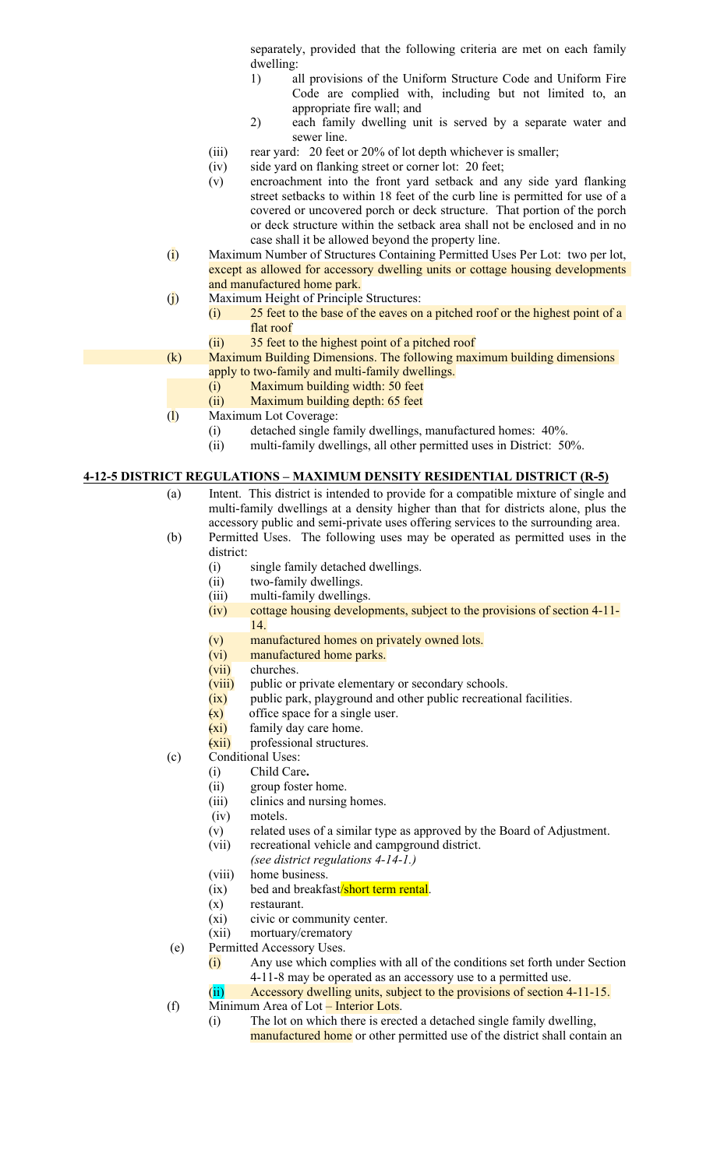separately, provided that the following criteria are met on each family dwelling:

- 1) all provisions of the Uniform Structure Code and Uniform Fire Code are complied with, including but not limited to, an appropriate fire wall; and
- 2) each family dwelling unit is served by a separate water and sewer line.
- (iii) rear yard: 20 feet or 20% of lot depth whichever is smaller;
- (iv) side yard on flanking street or corner lot: 20 feet;
- (v) encroachment into the front yard setback and any side yard flanking street setbacks to within 18 feet of the curb line is permitted for use of a covered or uncovered porch or deck structure. That portion of the porch or deck structure within the setback area shall not be enclosed and in no case shall it be allowed beyond the property line.
- (i) Maximum Number of Structures Containing Permitted Uses Per Lot: two per lot, except as allowed for accessory dwelling units or cottage housing developments and manufactured home park.
- (j) Maximum Height of Principle Structures:
	- (i) 25 feet to the base of the eaves on a pitched roof or the highest point of a flat roof
	- (ii) 35 feet to the highest point of a pitched roof
- (k) Maximum Building Dimensions. The following maximum building dimensions apply to two-family and multi-family dwellings.
	- (i) Maximum building width: 50 feet
	- (ii) Maximum building depth: 65 feet
- (l) Maximum Lot Coverage:
	- (i) detached single family dwellings, manufactured homes: 40%.
	- (ii) multi-family dwellings, all other permitted uses in District: 50%.

### **4-12-5 DISTRICT REGULATIONS – MAXIMUM DENSITY RESIDENTIAL DISTRICT (R-5)**

- (a) Intent. This district is intended to provide for a compatible mixture of single and multi-family dwellings at a density higher than that for districts alone, plus the accessory public and semi-private uses offering services to the surrounding area.
- (b) Permitted Uses. The following uses may be operated as permitted uses in the district:
	- (i) single family detached dwellings.
	- (ii) two-family dwellings.
	- (iii) multi-family dwellings.
	- (iv) cottage housing developments, subject to the provisions of section 4-11- 14.
	- (v) manufactured homes on privately owned lots.
	- (vi) manufactured home parks.
	- (vii) churches.
	- (viii) public or private elementary or secondary schools.
	- (ix) public park, playground and other public recreational facilities.
	- $(x)$  office space for a single user.
	- $(x_i)$  family day care home.
	- $(xii)$  professional structures.
- (c) Conditional Uses:
	- (i) Child Care**.**
		- (ii) group foster home.
		- (iii) clinics and nursing homes.
		- (iv) motels.
		- (v) related uses of a similar type as approved by the Board of Adjustment.
		- (vii) recreational vehicle and campground district.
		- *(see district regulations 4-14-1.)*
		- (viii) home business.
		- (ix) bed and breakfast/short term rental.
		- (x) restaurant.
		- (xi) civic or community center.
	- (xii) mortuary/crematory
- (e) Permitted Accessory Uses.
	- (i) Any use which complies with all of the conditions set forth under Section 4-11-8 may be operated as an accessory use to a permitted use.
	- (ii) Accessory dwelling units, subject to the provisions of section 4-11-15.
- (f) Minimum Area of Lot Interior Lots.
	- (i) The lot on which there is erected a detached single family dwelling, manufactured home or other permitted use of the district shall contain an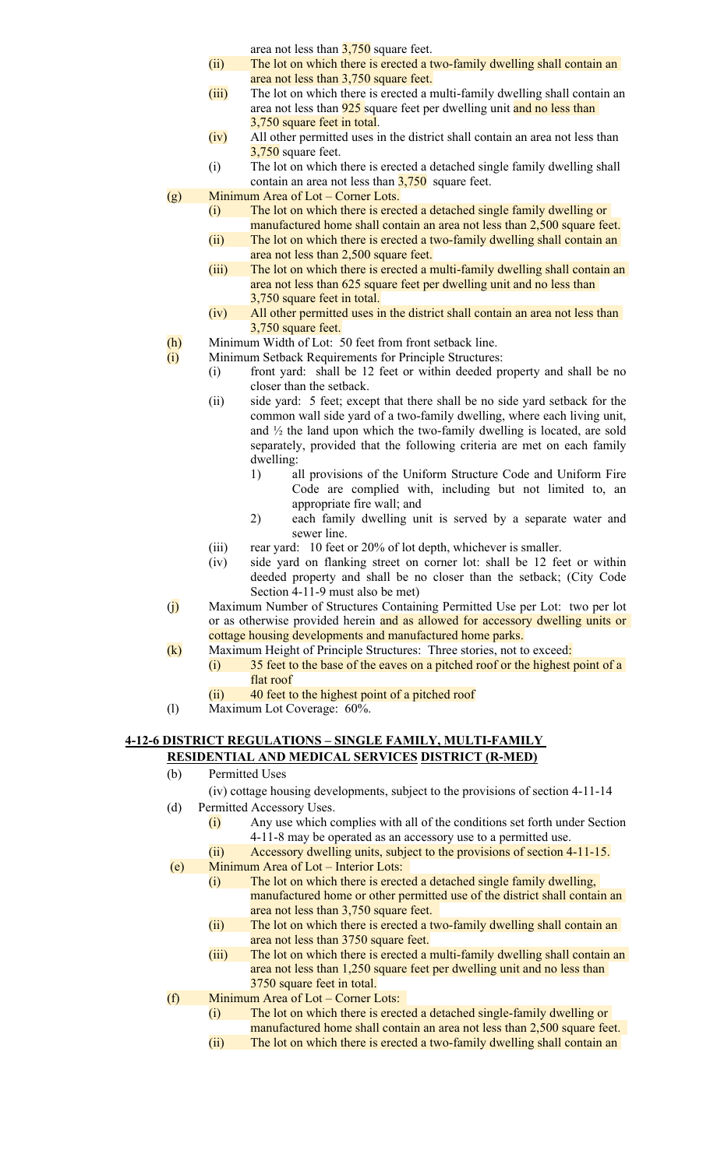area not less than  $3,750$  square feet.

- (ii) The lot on which there is erected a two-family dwelling shall contain an area not less than 3,750 square feet.
- (iii) The lot on which there is erected a multi-family dwelling shall contain an area not less than **925** square feet per dwelling unit and no less than 3,750 square feet in total.
- (iv) All other permitted uses in the district shall contain an area not less than 3,750 square feet.
- (i) The lot on which there is erected a detached single family dwelling shall contain an area not less than  $3,750$  square feet.
- (g) Minimum Area of Lot Corner Lots.
	- (i) The lot on which there is erected a detached single family dwelling or manufactured home shall contain an area not less than 2,500 square feet.
	- (ii) The lot on which there is erected a two-family dwelling shall contain an area not less than 2,500 square feet.
	- (iii) The lot on which there is erected a multi-family dwelling shall contain an area not less than 625 square feet per dwelling unit and no less than 3,750 square feet in total.
	- (iv) All other permitted uses in the district shall contain an area not less than 3,750 square feet.
- (h) Minimum Width of Lot: 50 feet from front setback line.
- (i) Minimum Setback Requirements for Principle Structures:
	- (i) front yard: shall be 12 feet or within deeded property and shall be no closer than the setback.
		- (ii) side yard: 5 feet; except that there shall be no side yard setback for the common wall side yard of a two-family dwelling, where each living unit, and  $\frac{1}{2}$  the land upon which the two-family dwelling is located, are sold separately, provided that the following criteria are met on each family dwelling:
			- 1) all provisions of the Uniform Structure Code and Uniform Fire Code are complied with, including but not limited to, an appropriate fire wall; and
			- 2) each family dwelling unit is served by a separate water and sewer line.
		- (iii) rear yard: 10 feet or 20% of lot depth, whichever is smaller.
		- (iv) side yard on flanking street on corner lot: shall be 12 feet or within deeded property and shall be no closer than the setback; (City Code Section 4-11-9 must also be met)
- (j) Maximum Number of Structures Containing Permitted Use per Lot: two per lot or as otherwise provided herein and as allowed for accessory dwelling units or cottage housing developments and manufactured home parks.
- (k) Maximum Height of Principle Structures: Three stories, not to exceed:
	- (i) 35 feet to the base of the eaves on a pitched roof or the highest point of a flat roof
	- (ii) 40 feet to the highest point of a pitched roof
- (l) Maximum Lot Coverage: 60%.

# **4-12-6 DISTRICT REGULATIONS – SINGLE FAMILY, MULTI-FAMILY RESIDENTIAL AND MEDICAL SERVICES DISTRICT (R-MED)**

- (b) Permitted Uses
	- (iv) cottage housing developments, subject to the provisions of section 4-11-14
- (d) Permitted Accessory Uses.
	- (i) Any use which complies with all of the conditions set forth under Section 4-11-8 may be operated as an accessory use to a permitted use.
	- (ii) Accessory dwelling units, subject to the provisions of section 4-11-15.
- (e) Minimum Area of Lot Interior Lots:
	- (i) The lot on which there is erected a detached single family dwelling, manufactured home or other permitted use of the district shall contain an area not less than 3,750 square feet.
	- (ii) The lot on which there is erected a two-family dwelling shall contain an area not less than 3750 square feet.
	- (iii) The lot on which there is erected a multi-family dwelling shall contain an area not less than 1,250 square feet per dwelling unit and no less than 3750 square feet in total.
- (f) Minimum Area of Lot Corner Lots:
	- (i) The lot on which there is erected a detached single-family dwelling or manufactured home shall contain an area not less than 2,500 square feet. (ii) The lot on which there is erected a two-family dwelling shall contain an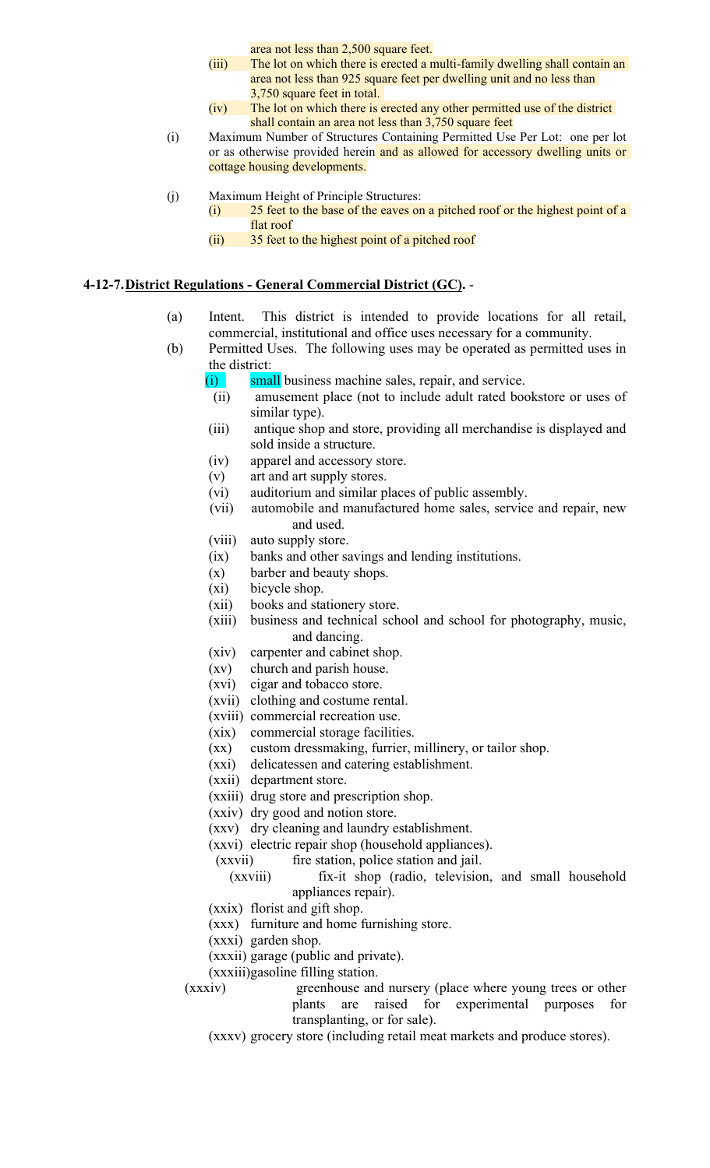area not less than 2,500 square feet.

- (iii) The lot on which there is erected a multi-family dwelling shall contain an area not less than 925 square feet per dwelling unit and no less than 3,750 square feet in total.
- (iv) The lot on which there is erected any other permitted use of the district shall contain an area not less than 3,750 square feet
- (i) Maximum Number of Structures Containing Permitted Use Per Lot: one per lot or as otherwise provided herein and as allowed for accessory dwelling units or cottage housing developments.
- (j) Maximum Height of Principle Structures:
	- (i) 25 feet to the base of the eaves on a pitched roof or the highest point of a flat roof
	- (ii) 35 feet to the highest point of a pitched roof

### **4-12-7.District Regulations - General Commercial District (GC).** -

- (a) Intent. This district is intended to provide locations for all retail, commercial, institutional and office uses necessary for a community.
- (b) Permitted Uses. The following uses may be operated as permitted uses in the district:
	- (i) small business machine sales, repair, and service.
	- (ii) amusement place (not to include adult rated bookstore or uses of similar type).
	- (iii) antique shop and store, providing all merchandise is displayed and sold inside a structure.
	- (iv) apparel and accessory store.
	- (v) art and art supply stores.
	- (vi) auditorium and similar places of public assembly.
	- (vii) automobile and manufactured home sales, service and repair, new and used.
	- (viii) auto supply store.
	- (ix) banks and other savings and lending institutions.
	- (x) barber and beauty shops.
	- (xi) bicycle shop.
	- (xii) books and stationery store.
	- (xiii) business and technical school and school for photography, music, and dancing.
	- (xiv) carpenter and cabinet shop.
	- (xv) church and parish house.
	- (xvi) cigar and tobacco store.
	- (xvii) clothing and costume rental.
	- (xviii) commercial recreation use.
	- (xix) commercial storage facilities.
	- (xx) custom dressmaking, furrier, millinery, or tailor shop.
	- (xxi) delicatessen and catering establishment.
	- (xxii) department store.
	- (xxiii) drug store and prescription shop.
	- (xxiv) dry good and notion store.
	- (xxv) dry cleaning and laundry establishment.
	- (xxvi) electric repair shop (household appliances).
		- (xxvii) fire station, police station and jail.
			- (xxviii) fix-it shop (radio, television, and small household appliances repair).
	- (xxix) florist and gift shop.
	- (xxx) furniture and home furnishing store.
	- (xxxi) garden shop.
	- (xxxii) garage (public and private).
	- (xxxiii)gasoline filling station.
	- (xxxiv) greenhouse and nursery (place where young trees or other plants are raised for experimental purposes for transplanting, or for sale).
		- (xxxv) grocery store (including retail meat markets and produce stores).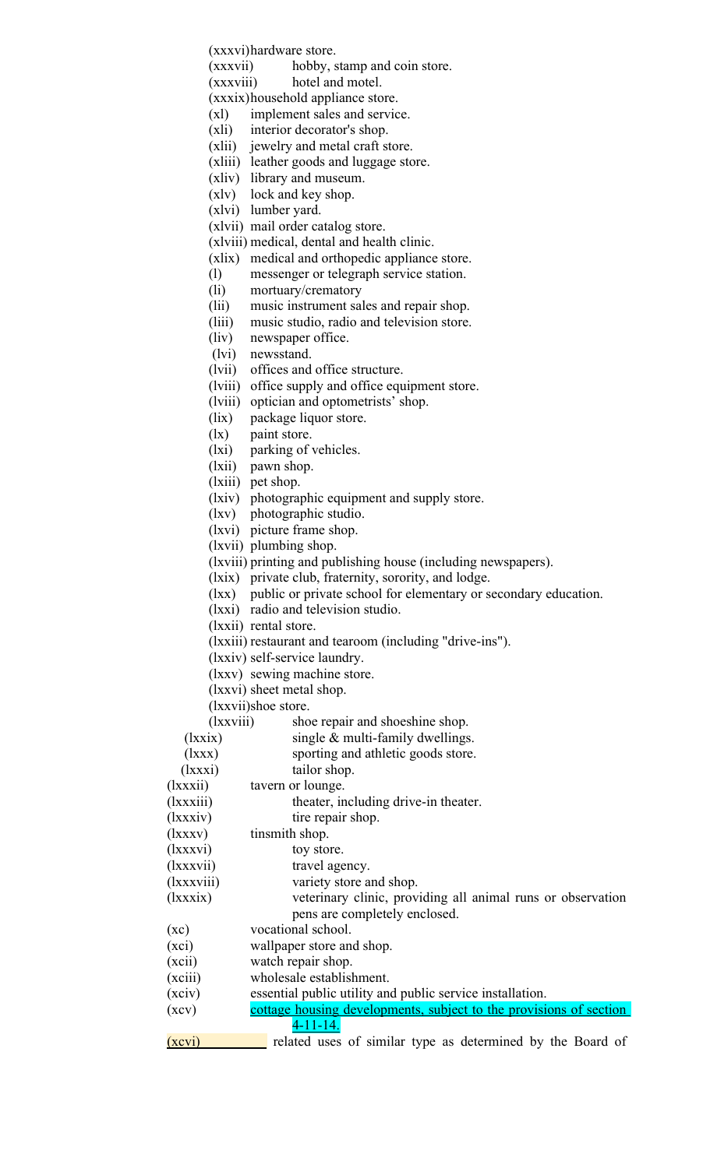(xxxvi)hardware store.

(xxxvii) hobby, stamp and coin store.

(xxxviii) hotel and motel.

(xxxix)household appliance store.

(xl) implement sales and service.

- (xli) interior decorator's shop.
- (xlii) jewelry and metal craft store.
- (xliii) leather goods and luggage store.
- (xliv) library and museum.
- (xlv) lock and key shop.
- (xlvi) lumber yard.
	- (xlvii) mail order catalog store.

(xlviii) medical, dental and health clinic.

- (xlix) medical and orthopedic appliance store.
- (l) messenger or telegraph service station.
- (li) mortuary/crematory
- (lii) music instrument sales and repair shop.
- (liii) music studio, radio and television store.
- (liv) newspaper office.
- (lvi) newsstand.
- (lvii) offices and office structure.
- (lviii) office supply and office equipment store.
- (lviii) optician and optometrists' shop.
- (lix) package liquor store.
- (lx) paint store.
- (lxi) parking of vehicles.
- (lxii) pawn shop.
- (lxiii) pet shop.
- (lxiv) photographic equipment and supply store.
- (lxv) photographic studio.
- (lxvi) picture frame shop.
- (lxvii) plumbing shop.
- (lxviii) printing and publishing house (including newspapers).
- (lxix) private club, fraternity, sorority, and lodge.
- (lxx) public or private school for elementary or secondary education.
- (lxxi) radio and television studio.
- (lxxii) rental store.
- (lxxiii) restaurant and tearoom (including "drive-ins").
- (lxxiv) self-service laundry.
- (lxxv) sewing machine store.
- (lxxvi) sheet metal shop.

(lxxvii)shoe store.

(lxxviii) shoe repair and shoeshine shop.

- ( $lxxix$ ) single  $&$  multi-family dwellings.
- (lxxx) sporting and athletic goods store.
- (lxxxi) tailor shop.
- (lxxxii) tavern or lounge.

(lxxxiii) theater, including drive-in theater.

- (lxxxiv) tire repair shop.
- (lxxxv) tinsmith shop.
- (lxxxvi) toy store.
- (lxxxvii) travel agency.
- (lxxxviii) variety store and shop.
- (lxxxix) veterinary clinic, providing all animal runs or observation pens are completely enclosed.
- (xc) vocational school.
- (xci) wallpaper store and shop.
- (xcii) watch repair shop.
- (xciii) wholesale establishment.
- (xciv) essential public utility and public service installation.
- (xcv) cottage housing developments, subject to the provisions of section 4-11-14.
- (xcvi) related uses of similar type as determined by the Board of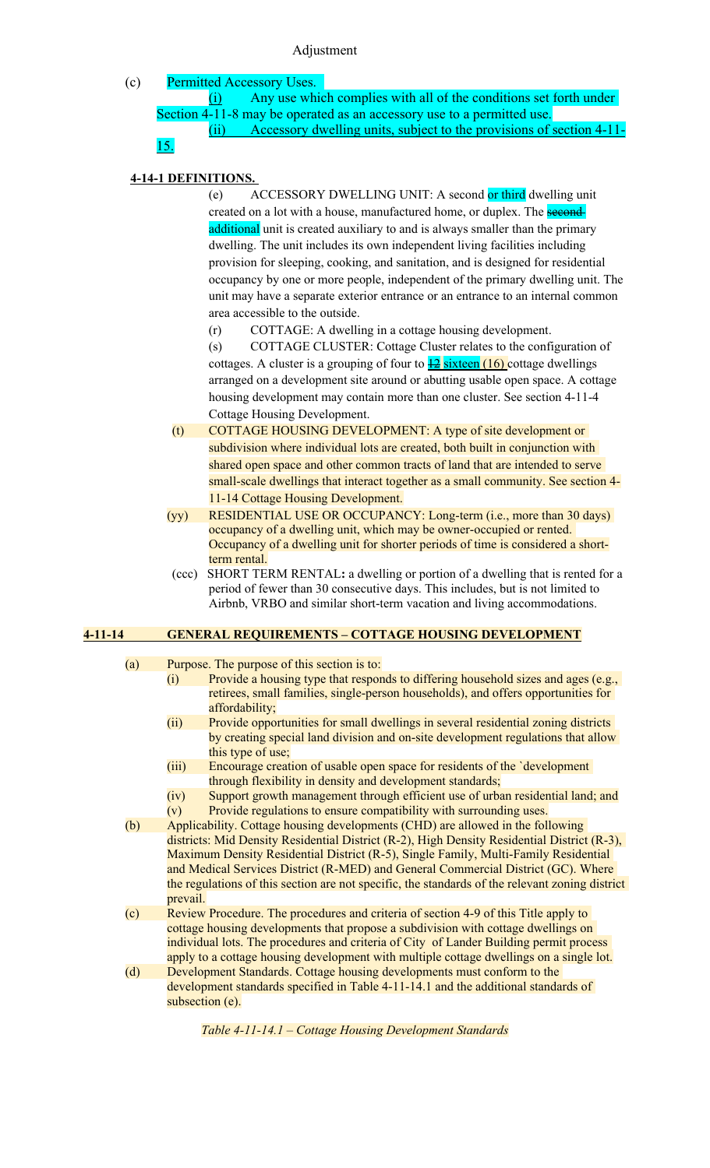#### Adjustment

(c) Permitted Accessory Uses.

(i) Any use which complies with all of the conditions set forth under Section 4-11-8 may be operated as an accessory use to a permitted use. (ii) Accessory dwelling units, subject to the provisions of section 4-11- 15.

# **4-14-1 DEFINITIONS.**

(e) ACCESSORY DWELLING UNIT: A second or third dwelling unit created on a lot with a house, manufactured home, or duplex. The **second** additional unit is created auxiliary to and is always smaller than the primary dwelling. The unit includes its own independent living facilities including provision for sleeping, cooking, and sanitation, and is designed for residential occupancy by one or more people, independent of the primary dwelling unit. The unit may have a separate exterior entrance or an entrance to an internal common area accessible to the outside.

(r) COTTAGE: A dwelling in a cottage housing development.

(s) COTTAGE CLUSTER: Cottage Cluster relates to the configuration of cottages. A cluster is a grouping of four to  $\frac{12}{2}$  sixteen  $(16)$  cottage dwellings arranged on a development site around or abutting usable open space. A cottage housing development may contain more than one cluster. See section 4-11-4 Cottage Housing Development.

- (t) COTTAGE HOUSING DEVELOPMENT: A type of site development or subdivision where individual lots are created, both built in conjunction with shared open space and other common tracts of land that are intended to serve small-scale dwellings that interact together as a small community. See section 4- 11-14 Cottage Housing Development.
- (yy) RESIDENTIAL USE OR OCCUPANCY: Long-term (i.e., more than 30 days) occupancy of a dwelling unit, which may be owner-occupied or rented. Occupancy of a dwelling unit for shorter periods of time is considered a shortterm rental.
- (ccc) SHORT TERM RENTAL**:** a dwelling or portion of a dwelling that is rented for a period of fewer than 30 consecutive days. This includes, but is not limited to Airbnb, VRBO and similar short-term vacation and living accommodations.

# **4-11-14 GENERAL REQUIREMENTS – COTTAGE HOUSING DEVELOPMENT**

- (a) Purpose. The purpose of this section is to:
	- (i) Provide a housing type that responds to differing household sizes and ages (e.g., retirees, small families, single-person households), and offers opportunities for affordability;
	- (ii) Provide opportunities for small dwellings in several residential zoning districts by creating special land division and on-site development regulations that allow this type of use;
	- (iii) Encourage creation of usable open space for residents of the `development through flexibility in density and development standards;
	- (iv) Support growth management through efficient use of urban residential land; and
	- (v) Provide regulations to ensure compatibility with surrounding uses.
- (b) Applicability. Cottage housing developments (CHD) are allowed in the following districts: Mid Density Residential District (R-2), High Density Residential District (R-3), Maximum Density Residential District (R-5), Single Family, Multi-Family Residential and Medical Services District (R-MED) and General Commercial District (GC). Where the regulations of this section are not specific, the standards of the relevant zoning district prevail.
- (c) Review Procedure. The procedures and criteria of section 4-9 of this Title apply to cottage housing developments that propose a subdivision with cottage dwellings on individual lots. The procedures and criteria of City of Lander Building permit process apply to a cottage housing development with multiple cottage dwellings on a single lot.
- (d) Development Standards. Cottage housing developments must conform to the development standards specified in Table 4-11-14.1 and the additional standards of subsection (e).

*Table 4-11-14.1 – Cottage Housing Development Standards*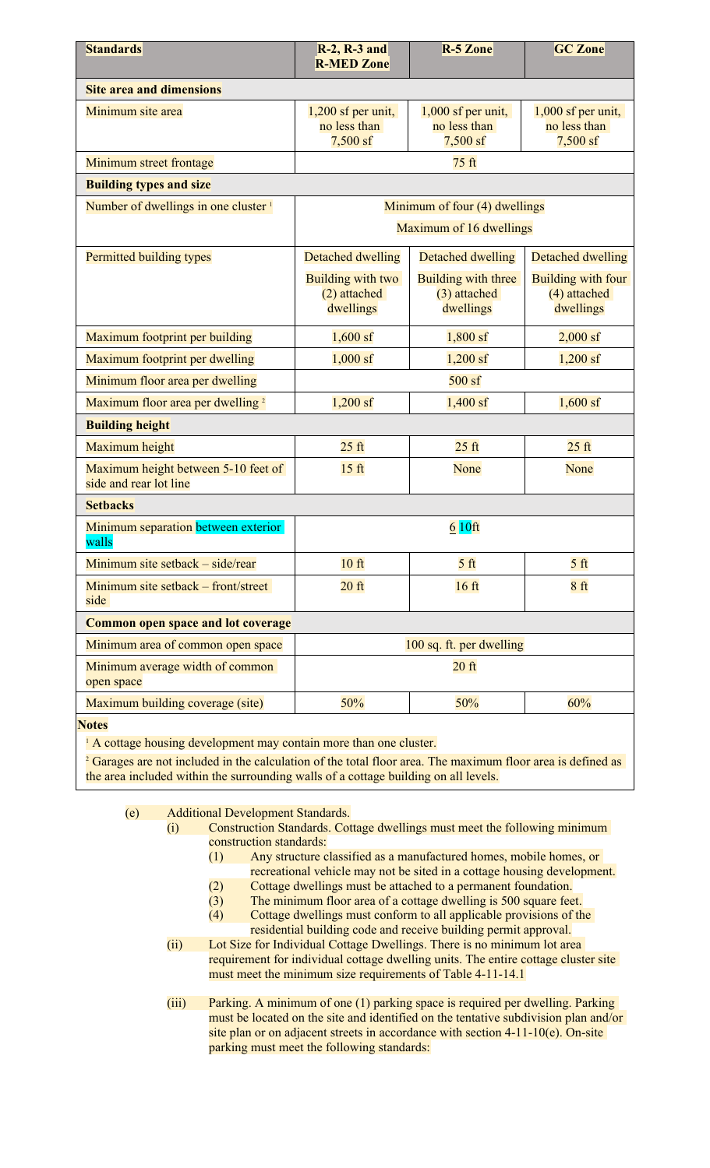| <b>Standards</b>                                              | $R-2$ , $R-3$ and<br><b>R-MED Zone</b>           | <b>R-5 Zone</b>                                    | <b>GC Zone</b>                                   |
|---------------------------------------------------------------|--------------------------------------------------|----------------------------------------------------|--------------------------------------------------|
| <b>Site area and dimensions</b>                               |                                                  |                                                    |                                                  |
| Minimum site area                                             | $1,200$ sf per unit,<br>no less than<br>7,500 sf | $1,000$ sf per unit,<br>no less than<br>$7,500$ sf | $1,000$ sf per unit,<br>no less than<br>7,500 sf |
| Minimum street frontage                                       |                                                  | 75 ft                                              |                                                  |
| <b>Building types and size</b>                                |                                                  |                                                    |                                                  |
| Number of dwellings in one cluster <sup>1</sup>               |                                                  | Minimum of four (4) dwellings                      |                                                  |
|                                                               |                                                  | Maximum of 16 dwellings                            |                                                  |
| Permitted building types                                      | Detached dwelling                                | <b>Detached dwelling</b>                           | <b>Detached dwelling</b>                         |
|                                                               | Building with two<br>(2) attached<br>dwellings   | Building with three<br>(3) attached<br>dwellings   | Building with four<br>(4) attached<br>dwellings  |
| Maximum footprint per building                                | $1,600$ sf                                       | $1,800$ sf                                         | $2,000$ sf                                       |
| Maximum footprint per dwelling                                | $1,000$ sf                                       | $1,200$ sf                                         | $1,200$ sf                                       |
| Minimum floor area per dwelling                               |                                                  | $500$ sf                                           |                                                  |
| Maximum floor area per dwelling <sup>2</sup>                  | $1,200$ sf                                       | $1,400$ sf                                         | $1,600$ sf                                       |
| <b>Building height</b>                                        |                                                  |                                                    |                                                  |
| Maximum height                                                | $25$ ft                                          | $25$ ft                                            | $25$ ft                                          |
| Maximum height between 5-10 feet of<br>side and rear lot line | 15 <sub>ft</sub>                                 | None                                               | None                                             |
| <b>Setbacks</b>                                               |                                                  |                                                    |                                                  |
| Minimum separation between exterior<br>walls                  |                                                  | $610$ ft                                           |                                                  |
| Minimum site setback - side/rear                              | $10$ ft                                          | 5 <sub>ft</sub>                                    | 5 <sub>ft</sub>                                  |
| Minimum site setback – front/street<br>side                   | $20$ ft                                          | 16 <sub>ft</sub>                                   | 8 <sub>ft</sub>                                  |
| <b>Common open space and lot coverage</b>                     |                                                  |                                                    |                                                  |
| Minimum area of common open space                             |                                                  | 100 sq. ft. per dwelling                           |                                                  |
| Minimum average width of common<br>open space                 |                                                  | $20$ ft                                            |                                                  |
| Maximum building coverage (site)                              | 50%                                              | 50%                                                | 60%                                              |
| <b>Notes</b>                                                  |                                                  |                                                    |                                                  |

<sup>1</sup> A cottage housing development may contain more than one cluster.

<sup>2</sup> Garages are not included in the calculation of the total floor area. The maximum floor area is defined as the area included within the surrounding walls of a cottage building on all levels.

| (e)<br><b>Additional Development Standards.</b> |  |  |
|-------------------------------------------------|--|--|
|-------------------------------------------------|--|--|

| (i) | Construction Standards. Cottage dwellings must meet the following minimum                                                                                                                                                         |
|-----|-----------------------------------------------------------------------------------------------------------------------------------------------------------------------------------------------------------------------------------|
|     | construction standards:                                                                                                                                                                                                           |
|     | Any structure classified as a manufactured homes, mobile homes, or                                                                                                                                                                |
|     | recreational vehicle may not be sited in a cottage housing development.                                                                                                                                                           |
|     | $\alpha$ . It is the set of the set of the set of the set of the set of the set of the set of the set of the set of the set of the set of the set of the set of the set of the set of the set of the set of the set of the set of |

- (2) Cottage dwellings must be attached to a permanent foundation.
- (3) The minimum floor area of a cottage dwelling is 500 square feet.
- (4) Cottage dwellings must conform to all applicable provisions of the residential building code and receive building permit approval.
- (ii) Lot Size for Individual Cottage Dwellings. There is no minimum lot area requirement for individual cottage dwelling units. The entire cottage cluster site must meet the minimum size requirements of Table 4-11-14.1

(iii) Parking. A minimum of one (1) parking space is required per dwelling. Parking must be located on the site and identified on the tentative subdivision plan and/or site plan or on adjacent streets in accordance with section 4-11-10(e). On-site parking must meet the following standards: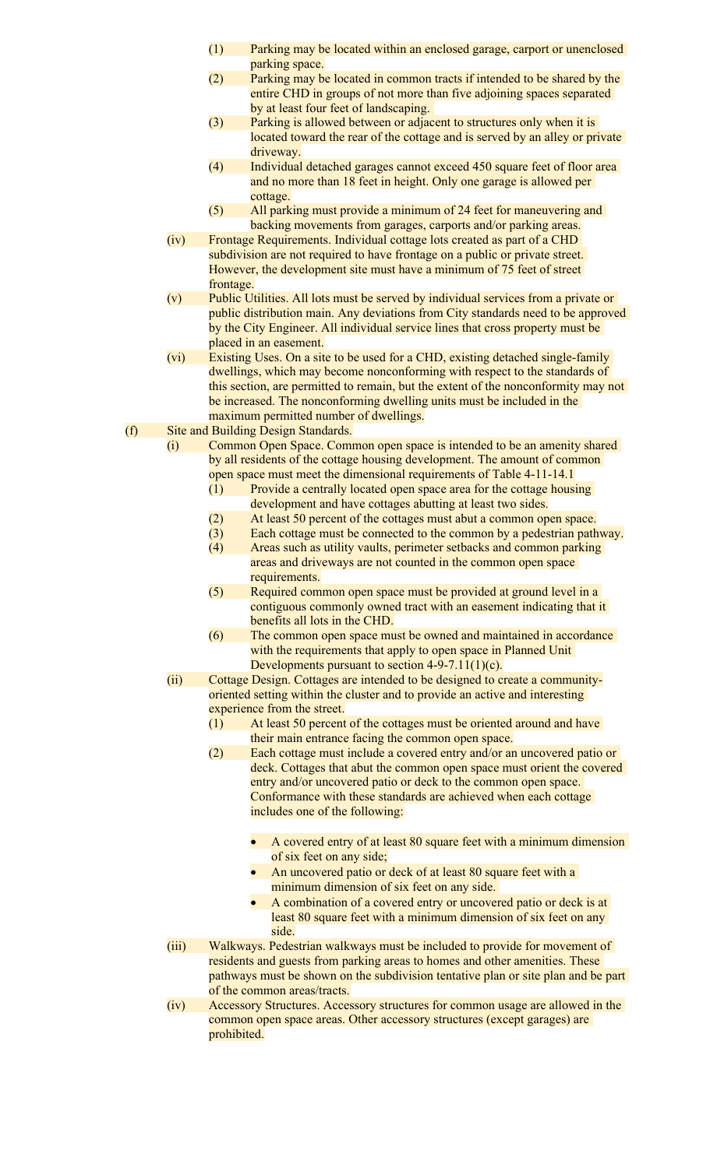- (1) Parking may be located within an enclosed garage, carport or unenclosed parking space.
- (2) Parking may be located in common tracts if intended to be shared by the entire CHD in groups of not more than five adjoining spaces separated by at least four feet of landscaping.
- (3) Parking is allowed between or adjacent to structures only when it is located toward the rear of the cottage and is served by an alley or private driveway.
- (4) Individual detached garages cannot exceed 450 square feet of floor area and no more than 18 feet in height. Only one garage is allowed per cottage.
- (5) All parking must provide a minimum of 24 feet for maneuvering and backing movements from garages, carports and/or parking areas.
- (iv) Frontage Requirements. Individual cottage lots created as part of a CHD subdivision are not required to have frontage on a public or private street. However, the development site must have a minimum of 75 feet of street frontage.
- (v) Public Utilities. All lots must be served by individual services from a private or public distribution main. Any deviations from City standards need to be approved by the City Engineer. All individual service lines that cross property must be placed in an easement.
- (vi) Existing Uses. On a site to be used for a CHD, existing detached single-family dwellings, which may become nonconforming with respect to the standards of this section, are permitted to remain, but the extent of the nonconformity may not be increased. The nonconforming dwelling units must be included in the maximum permitted number of dwellings.
- (f) Site and Building Design Standards.
	- (i) Common Open Space. Common open space is intended to be an amenity shared by all residents of the cottage housing development. The amount of common open space must meet the dimensional requirements of Table 4-11-14.1
		- (1) Provide a centrally located open space area for the cottage housing development and have cottages abutting at least two sides.
		- (2) At least 50 percent of the cottages must abut a common open space.
		- (3) Each cottage must be connected to the common by a pedestrian pathway.
		- (4) Areas such as utility vaults, perimeter setbacks and common parking areas and driveways are not counted in the common open space requirements.
		- (5) Required common open space must be provided at ground level in a contiguous commonly owned tract with an easement indicating that it benefits all lots in the CHD.
		- (6) The common open space must be owned and maintained in accordance with the requirements that apply to open space in Planned Unit Developments pursuant to section 4-9-7.11(1)(c).
	- (ii) Cottage Design. Cottages are intended to be designed to create a communityoriented setting within the cluster and to provide an active and interesting experience from the street.
		- (1) At least 50 percent of the cottages must be oriented around and have their main entrance facing the common open space.
		- (2) Each cottage must include a covered entry and/or an uncovered patio or deck. Cottages that abut the common open space must orient the covered entry and/or uncovered patio or deck to the common open space. Conformance with these standards are achieved when each cottage includes one of the following:
			- A covered entry of at least 80 square feet with a minimum dimension of six feet on any side;
			- An uncovered patio or deck of at least 80 square feet with a minimum dimension of six feet on any side.
			- A combination of a covered entry or uncovered patio or deck is at least 80 square feet with a minimum dimension of six feet on any side.
	- (iii) Walkways. Pedestrian walkways must be included to provide for movement of residents and guests from parking areas to homes and other amenities. These pathways must be shown on the subdivision tentative plan or site plan and be part of the common areas/tracts.
	- (iv) Accessory Structures. Accessory structures for common usage are allowed in the common open space areas. Other accessory structures (except garages) are prohibited.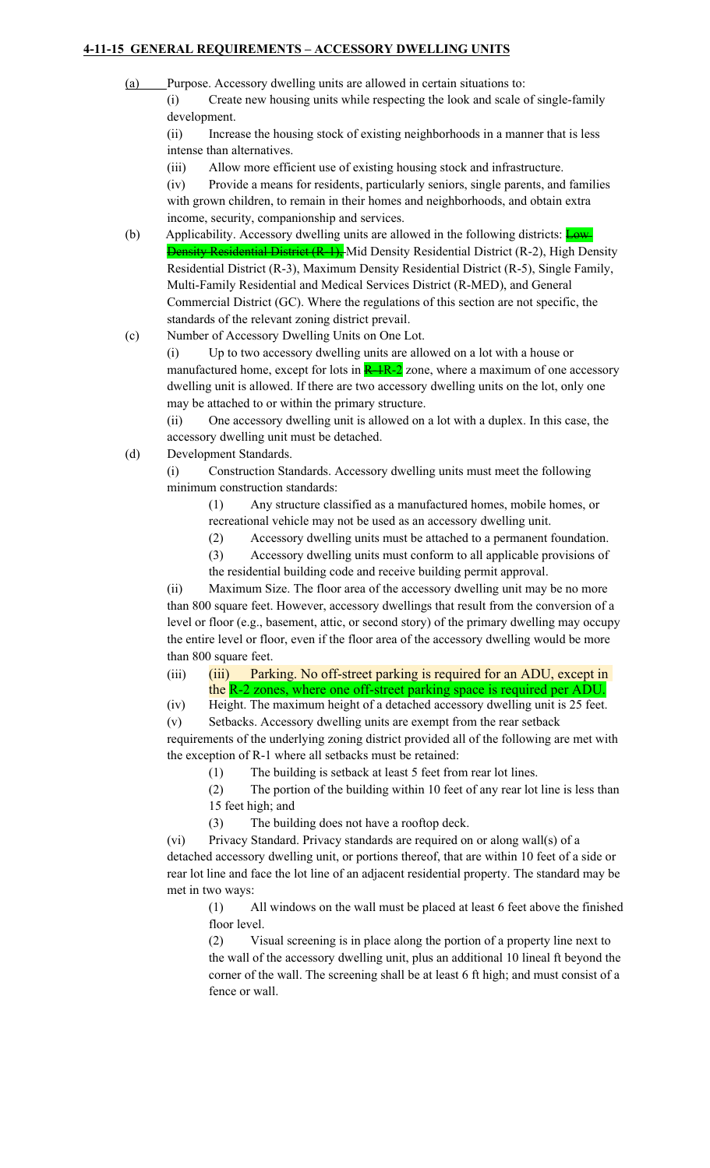### **4-11-15 GENERAL REQUIREMENTS – ACCESSORY DWELLING UNITS**

- (a) Purpose. Accessory dwelling units are allowed in certain situations to:
	- (i) Create new housing units while respecting the look and scale of single-family development.

(ii) Increase the housing stock of existing neighborhoods in a manner that is less intense than alternatives.

(iii) Allow more efficient use of existing housing stock and infrastructure.

(iv) Provide a means for residents, particularly seniors, single parents, and families with grown children, to remain in their homes and neighborhoods, and obtain extra income, security, companionship and services.

(b) Applicability. Accessory dwelling units are allowed in the following districts:  $Low$ Density Residential District (R-1), Mid Density Residential District (R-2), High Density Residential District (R-3), Maximum Density Residential District (R-5), Single Family, Multi-Family Residential and Medical Services District (R-MED), and General Commercial District (GC). Where the regulations of this section are not specific, the standards of the relevant zoning district prevail.

(c) Number of Accessory Dwelling Units on One Lot.

(i) Up to two accessory dwelling units are allowed on a lot with a house or manufactured home, except for lots in  $R-1R-2$  zone, where a maximum of one accessory dwelling unit is allowed. If there are two accessory dwelling units on the lot, only one may be attached to or within the primary structure.

(ii) One accessory dwelling unit is allowed on a lot with a duplex. In this case, the accessory dwelling unit must be detached.

(d) Development Standards.

(i) Construction Standards. Accessory dwelling units must meet the following minimum construction standards:

(1) Any structure classified as a manufactured homes, mobile homes, or recreational vehicle may not be used as an accessory dwelling unit.

(2) Accessory dwelling units must be attached to a permanent foundation.

(3) Accessory dwelling units must conform to all applicable provisions of the residential building code and receive building permit approval.

(ii) Maximum Size. The floor area of the accessory dwelling unit may be no more than 800 square feet. However, accessory dwellings that result from the conversion of a level or floor (e.g., basement, attic, or second story) of the primary dwelling may occupy the entire level or floor, even if the floor area of the accessory dwelling would be more than 800 square feet.

(iii) (iii) Parking. No off-street parking is required for an ADU, except in the R-2 zones, where one off-street parking space is required per ADU.

(iv) Height. The maximum height of a detached accessory dwelling unit is 25 feet.

(v) Setbacks. Accessory dwelling units are exempt from the rear setback requirements of the underlying zoning district provided all of the following are met with the exception of R-1 where all setbacks must be retained:

(1) The building is setback at least 5 feet from rear lot lines.

(2) The portion of the building within 10 feet of any rear lot line is less than 15 feet high; and

(3) The building does not have a rooftop deck.

(vi) Privacy Standard. Privacy standards are required on or along wall(s) of a detached accessory dwelling unit, or portions thereof, that are within 10 feet of a side or rear lot line and face the lot line of an adjacent residential property. The standard may be met in two ways:

(1) All windows on the wall must be placed at least 6 feet above the finished floor level.

(2) Visual screening is in place along the portion of a property line next to the wall of the accessory dwelling unit, plus an additional 10 lineal ft beyond the corner of the wall. The screening shall be at least 6 ft high; and must consist of a fence or wall.